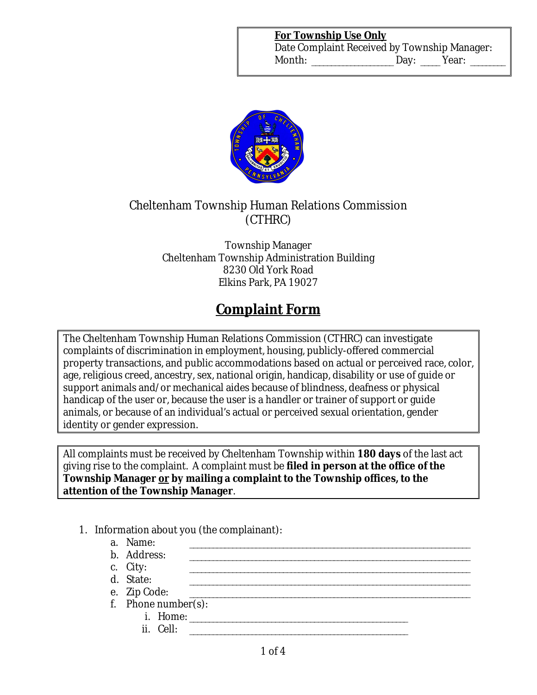#### **For Township Use Only**

Date Complaint Received by Township Manager: Month: \_\_\_\_\_\_\_\_\_\_\_\_\_\_\_\_\_\_\_ Day: \_\_\_\_ Year: \_\_\_\_\_\_\_



## Cheltenham Township Human Relations Commission (CTHRC)

Township Manager Cheltenham Township Administration Building 8230 Old York Road Elkins Park, PA 19027

# **Complaint Form**

The Cheltenham Township Human Relations Commission (CTHRC) can investigate complaints of discrimination in employment, housing, publicly-offered commercial property transactions, and public accommodations based on actual or perceived race, color, age, religious creed, ancestry, sex, national origin, handicap, disability or use of guide or support animals and/or mechanical aides because of blindness, deafness or physical handicap of the user or, because the user is a handler or trainer of support or guide animals, or because of an individual's actual or perceived sexual orientation, gender identity or gender expression.

All complaints must be received by Cheltenham Township within **180 days** of the last act giving rise to the complaint. A complaint must be **filed in person at the office of the Township Manager or by mailing a complaint to the Township offices, to the attention of the Township Manager**.

- 1. Information about you (the complainant):
	- a. Name: \_\_\_\_\_\_\_\_\_\_\_\_\_\_\_\_\_\_\_\_\_\_\_\_\_\_\_\_\_\_\_\_\_\_\_\_\_\_\_\_\_\_\_\_\_\_\_\_\_\_\_\_\_\_\_\_\_\_\_\_\_\_\_\_\_\_\_\_\_\_\_\_ b. Address: c. City: \_\_\_\_\_\_\_\_\_\_\_\_\_\_\_\_\_\_\_\_\_\_\_\_\_\_\_\_\_\_\_\_\_\_\_\_\_\_\_\_\_\_\_\_\_\_\_\_\_\_\_\_\_\_\_\_\_\_\_\_\_\_\_\_\_\_\_\_\_\_\_\_
	- d. State:
	- e. Zip Code:
	- f. Phone number(s):
		- $i.$  Home:  $i.$
		- $ii.$  Cell:  $\Box$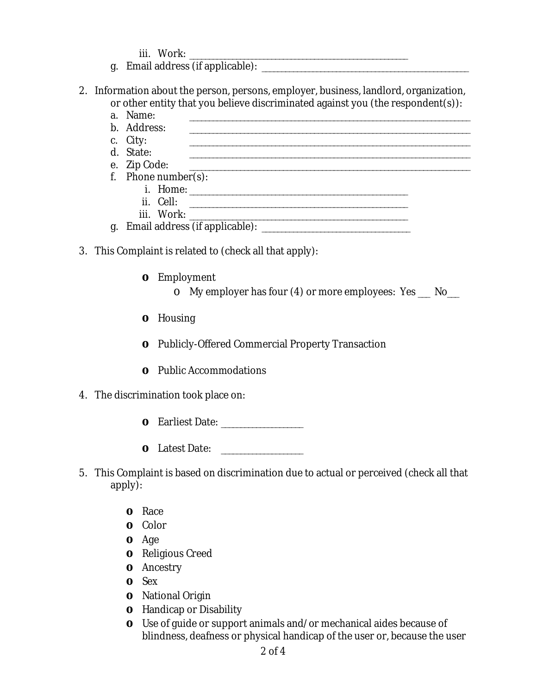iii. Work: \_\_\_\_\_\_\_\_\_\_\_\_\_\_\_\_\_\_\_\_\_\_\_\_\_\_\_\_\_\_\_\_\_\_\_\_\_\_\_\_\_\_\_\_\_\_\_\_\_\_\_\_\_\_\_\_

- g. Email address (if applicable): \_\_\_\_\_\_\_\_\_\_\_\_\_\_\_\_\_\_\_\_\_\_\_\_\_\_\_\_\_\_\_\_\_\_\_\_\_\_\_\_\_\_\_\_\_\_\_\_\_\_\_\_\_
- 2. Information about the person, persons, employer, business, landlord, organization, or other entity that you believe discriminated against you (the respondent(s)):
	- a. Name: \_\_\_\_\_\_\_\_\_\_\_\_\_\_\_\_\_\_\_\_\_\_\_\_\_\_\_\_\_\_\_\_\_\_\_\_\_\_\_\_\_\_\_\_\_\_\_\_\_\_\_\_\_\_\_\_\_\_\_\_\_\_\_\_\_\_\_\_\_\_\_\_ b. Address: \_\_\_\_\_\_\_\_\_\_\_\_\_\_\_\_\_\_\_\_\_\_\_\_\_\_\_\_\_\_\_\_\_\_\_\_\_\_\_\_\_\_\_\_\_\_\_\_\_\_\_\_\_\_\_\_\_\_\_\_\_\_\_\_\_\_\_\_\_\_\_\_
	- c. City: \_\_\_\_\_\_\_\_\_\_\_\_\_\_\_\_\_\_\_\_\_\_\_\_\_\_\_\_\_\_\_\_\_\_\_\_\_\_\_\_\_\_\_\_\_\_\_\_\_\_\_\_\_\_\_\_\_\_\_\_\_\_\_\_\_\_\_\_\_\_\_\_
	- d. State: \_\_\_\_\_\_\_\_\_\_\_\_\_\_\_\_\_\_\_\_\_\_\_\_\_\_\_\_\_\_\_\_\_\_\_\_\_\_\_\_\_\_\_\_\_\_\_\_\_\_\_\_\_\_\_\_\_\_\_\_\_\_\_\_\_\_\_\_\_\_\_\_
	- e. Zip Code: f. Phone number(s):
		- i. Home: \_\_\_\_\_\_\_\_\_\_\_\_\_\_\_\_\_\_\_\_\_\_\_\_\_\_\_\_\_\_\_\_\_\_\_\_\_\_\_\_\_\_\_\_\_\_\_\_\_\_\_\_\_\_\_\_ ii. Cell: \_\_\_\_\_\_\_\_\_\_\_\_\_\_\_\_\_\_\_\_\_\_\_\_\_\_\_\_\_\_\_\_\_\_\_\_\_\_\_\_\_\_\_\_\_\_\_\_\_\_\_\_\_\_\_\_ iii. Work: \_\_\_\_\_\_\_\_\_\_\_\_\_\_\_\_\_\_\_\_\_\_\_\_\_\_\_\_\_\_\_\_\_\_\_\_\_\_\_\_\_\_\_\_\_\_\_\_\_\_\_\_\_\_\_\_
	- g. Email address (if applicable): \_\_\_\_\_\_\_\_\_\_\_\_\_\_\_\_\_\_\_\_\_\_\_\_\_\_\_\_\_\_\_\_\_\_\_\_\_\_
- 3. This Complaint is related to (check all that apply):
	- **o** Employment
		- o My employer has four (4) or more employees: Yes \_\_\_ No\_\_\_
	- **o** Housing
	- **o** Publicly-Offered Commercial Property Transaction
	- **o** Public Accommodations
- 4. The discrimination took place on:
	- **o** Earliest Date:
	- **o** Latest Date: \_\_\_\_\_\_\_\_\_\_\_\_\_\_\_
- 5. This Complaint is based on discrimination due to actual or perceived (check all that apply):
	- **o** Race
	- **o** Color
	- **o** Age
	- **o** Religious Creed
	- **o** Ancestry
	- **o** Sex
	- **o** National Origin
	- **o** Handicap or Disability
	- **o** Use of guide or support animals and/or mechanical aides because of blindness, deafness or physical handicap of the user or, because the user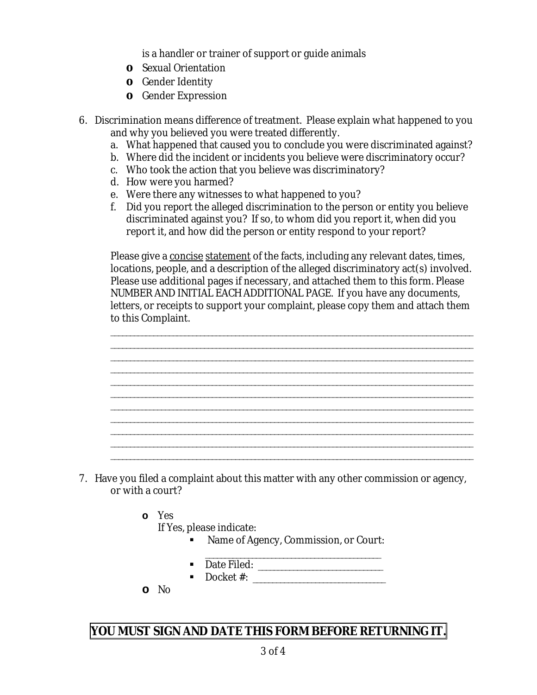is a handler or trainer of support or guide animals

- **o** Sexual Orientation
- **o** Gender Identity
- **o** Gender Expression
- 6. Discrimination means difference of treatment. Please explain what happened to you and why you believed you were treated differently.
	- a. What happened that caused you to conclude you were discriminated against?
	- b. Where did the incident or incidents you believe were discriminatory occur?
	- c. Who took the action that you believe was discriminatory?
	- d. How were you harmed?
	- e. Were there any witnesses to what happened to you?
	- f. Did you report the alleged discrimination to the person or entity you believe discriminated against you? If so, to whom did you report it, when did you report it, and how did the person or entity respond to your report?

Please give a concise statement of the facts, including any relevant dates, times, locations, people, and a description of the alleged discriminatory act(s) involved. Please use additional pages if necessary, and attached them to this form. Please NUMBER AND INITIAL EACH ADDITIONAL PAGE. If you have any documents, letters, or receipts to support your complaint, please copy them and attach them to this Complaint.

\_\_\_\_\_\_\_\_\_\_\_\_\_\_\_\_\_\_\_\_\_\_\_\_\_\_\_\_\_\_\_\_\_\_\_\_\_\_\_\_\_\_\_\_\_\_\_\_\_\_\_\_\_\_\_\_\_\_\_\_\_\_\_\_\_\_\_\_\_\_\_\_\_\_\_\_\_\_\_\_\_\_\_\_\_\_\_\_\_\_\_\_\_ \_\_\_\_\_\_\_\_\_\_\_\_\_\_\_\_\_\_\_\_\_\_\_\_\_\_\_\_\_\_\_\_\_\_\_\_\_\_\_\_\_\_\_\_\_\_\_\_\_\_\_\_\_\_\_\_\_\_\_\_\_\_\_\_\_\_\_\_\_\_\_\_\_\_\_\_\_\_\_\_\_\_\_\_\_\_\_\_\_\_\_\_\_ \_\_\_\_\_\_\_\_\_\_\_\_\_\_\_\_\_\_\_\_\_\_\_\_\_\_\_\_\_\_\_\_\_\_\_\_\_\_\_\_\_\_\_\_\_\_\_\_\_\_\_\_\_\_\_\_\_\_\_\_\_\_\_\_\_\_\_\_\_\_\_\_\_\_\_\_\_\_\_\_\_\_\_\_\_\_\_\_\_\_\_\_\_ \_\_\_\_\_\_\_\_\_\_\_\_\_\_\_\_\_\_\_\_\_\_\_\_\_\_\_\_\_\_\_\_\_\_\_\_\_\_\_\_\_\_\_\_\_\_\_\_\_\_\_\_\_\_\_\_\_\_\_\_\_\_\_\_\_\_\_\_\_\_\_\_\_\_\_\_\_\_\_\_\_\_\_\_\_\_\_\_\_\_\_\_\_ \_\_\_\_\_\_\_\_\_\_\_\_\_\_\_\_\_\_\_\_\_\_\_\_\_\_\_\_\_\_\_\_\_\_\_\_\_\_\_\_\_\_\_\_\_\_\_\_\_\_\_\_\_\_\_\_\_\_\_\_\_\_\_\_\_\_\_\_\_\_\_\_\_\_\_\_\_\_\_\_\_\_\_\_\_\_\_\_\_\_\_\_\_ \_\_\_\_\_\_\_\_\_\_\_\_\_\_\_\_\_\_\_\_\_\_\_\_\_\_\_\_\_\_\_\_\_\_\_\_\_\_\_\_\_\_\_\_\_\_\_\_\_\_\_\_\_\_\_\_\_\_\_\_\_\_\_\_\_\_\_\_\_\_\_\_\_\_\_\_\_\_\_\_\_\_\_\_\_\_\_\_\_\_\_\_\_ \_\_\_\_\_\_\_\_\_\_\_\_\_\_\_\_\_\_\_\_\_\_\_\_\_\_\_\_\_\_\_\_\_\_\_\_\_\_\_\_\_\_\_\_\_\_\_\_\_\_\_\_\_\_\_\_\_\_\_\_\_\_\_\_\_\_\_\_\_\_\_\_\_\_\_\_\_\_\_\_\_\_\_\_\_\_\_\_\_\_\_\_\_ \_\_\_\_\_\_\_\_\_\_\_\_\_\_\_\_\_\_\_\_\_\_\_\_\_\_\_\_\_\_\_\_\_\_\_\_\_\_\_\_\_\_\_\_\_\_\_\_\_\_\_\_\_\_\_\_\_\_\_\_\_\_\_\_\_\_\_\_\_\_\_\_\_\_\_\_\_\_\_\_\_\_\_\_\_\_\_\_\_\_\_\_\_ \_\_\_\_\_\_\_\_\_\_\_\_\_\_\_\_\_\_\_\_\_\_\_\_\_\_\_\_\_\_\_\_\_\_\_\_\_\_\_\_\_\_\_\_\_\_\_\_\_\_\_\_\_\_\_\_\_\_\_\_\_\_\_\_\_\_\_\_\_\_\_\_\_\_\_\_\_\_\_\_\_\_\_\_\_\_\_\_\_\_\_\_\_ \_\_\_\_\_\_\_\_\_\_\_\_\_\_\_\_\_\_\_\_\_\_\_\_\_\_\_\_\_\_\_\_\_\_\_\_\_\_\_\_\_\_\_\_\_\_\_\_\_\_\_\_\_\_\_\_\_\_\_\_\_\_\_\_\_\_\_\_\_\_\_\_\_\_\_\_\_\_\_\_\_\_\_\_\_\_\_\_\_\_\_\_\_ \_\_\_\_\_\_\_\_\_\_\_\_\_\_\_\_\_\_\_\_\_\_\_\_\_\_\_\_\_\_\_\_\_\_\_\_\_\_\_\_\_\_\_\_\_\_\_\_\_\_\_\_\_\_\_\_\_\_\_\_\_\_\_\_\_\_\_\_\_\_\_\_\_\_\_\_\_\_\_\_\_\_\_\_\_\_\_\_\_\_\_\_\_

- 7. Have you filed a complaint about this matter with any other commission or agency, or with a court?
	- **o** Yes

If Yes, please indicate:

- Name of Agency, Commission, or Court:
- Date Filed: \_\_\_\_\_\_\_\_\_\_\_\_\_\_\_\_\_\_\_\_\_\_\_\_\_\_\_\_\_\_\_\_
- Docket #: \_\_\_\_\_\_\_\_\_\_\_\_\_\_\_\_\_\_\_\_\_\_\_\_\_\_\_\_\_\_\_\_\_\_
- **o** No

## **YOU MUST SIGN AND DATE THIS FORM BEFORE RETURNING IT.**